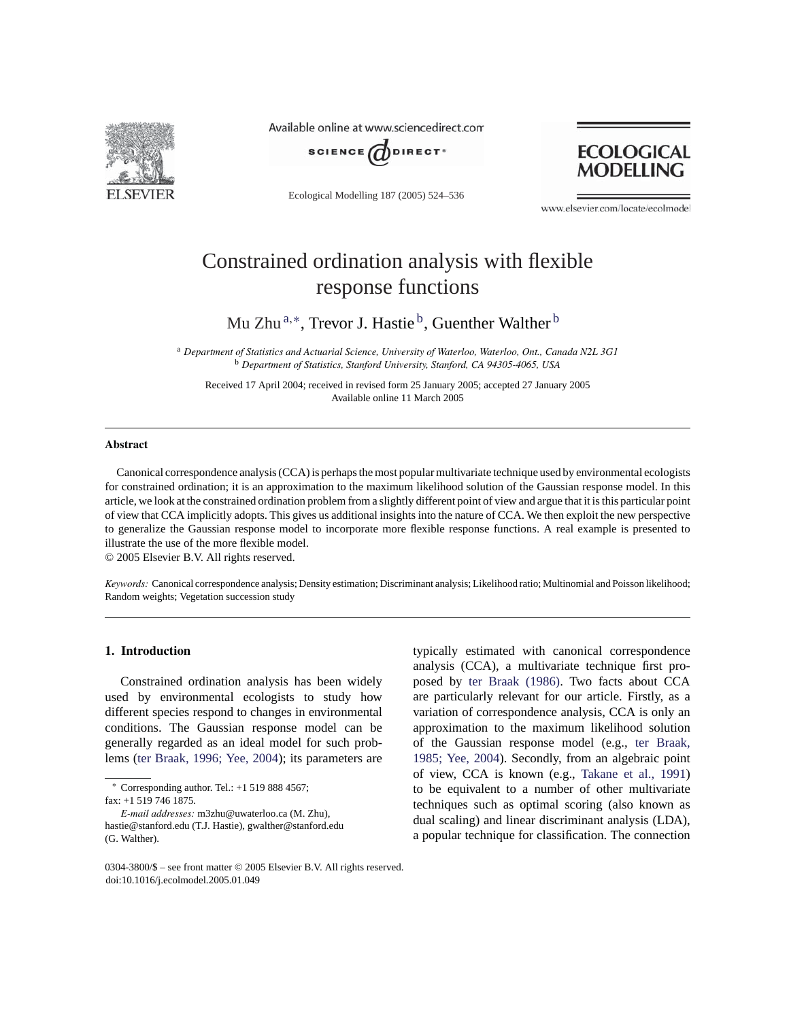

Available online at www.sciencedirect.com



Ecological Modelling 187 (2005) 524–536



www.elsevier.com/locate/ecolmodel

# Constrained ordination analysis with flexible response functions

Mu Zhu<sup>a,∗</sup>, Trevor J. Hastie<sup>b</sup>, Guenther Walther<sup>b</sup>

<sup>a</sup> *Department of Statistics and Actuarial Science, University of Waterloo, Waterloo, Ont., Canada N2L 3G1* <sup>b</sup> *Department of Statistics, Stanford University, Stanford, CA 94305-4065, USA*

Received 17 April 2004; received in revised form 25 January 2005; accepted 27 January 2005 Available online 11 March 2005

## **Abstract**

Canonical correspondence analysis (CCA) is perhaps the most popular multivariate technique used by environmental ecologists for constrained ordination; it is an approximation to the maximum likelihood solution of the Gaussian response model. In this article, we look at the constrained ordination problem from a slightly different point of view and argue that it is this particular point of view that CCA implicitly adopts. This gives us additional insights into the nature of CCA. We then exploit the new perspective to generalize the Gaussian response model to incorporate more flexible response functions. A real example is presented to illustrate the use of the more flexible model.

© 2005 Elsevier B.V. All rights reserved.

*Keywords:* Canonical correspondence analysis; Density estimation; Discriminant analysis; Likelihood ratio; Multinomial and Poisson likelihood; Random weights; Vegetation succession study

## **1. Introduction**

Constrained ordination analysis has been widely used by environmental ecologists to study how different species respond to changes in environmental conditions. The Gaussian response model can be generally regarded as an ideal model for such problems (ter Braak, 1996; Yee, 2004); its parameters are typically estimated with canonical correspondence analysis (CCA), a multivariate technique first proposed by ter Braak (1986). Two facts about CCA are particularly relevant for our article. Firstly, as a variation of correspondence analysis, CCA is only an approximation to the maximum likelihood solution of the Gaussian response model (e.g., ter Braak, 1985; Yee, 2004). Secondly, from an algebraic point of view, CCA is known (e.g., Takane et al., 1991) to be equivalent to a number of other multivariate techniques such as optimal scoring (also known as dual scaling) and linear discriminant analysis (LDA), a popular technique for classification. The connection

<sup>∗</sup> Corresponding author. Tel.: +1 519 888 4567;

fax: +1 519 746 1875.

*E-mail addresses:* m3zhu@uwaterloo.ca (M. Zhu), hastie@stanford.edu (T.J. Hastie), gwalther@stanford.edu (G. Walther).

<sup>0304-3800/\$ –</sup> see front matter © 2005 Elsevier B.V. All rights reserved. doi:10.1016/j.ecolmodel.2005.01.049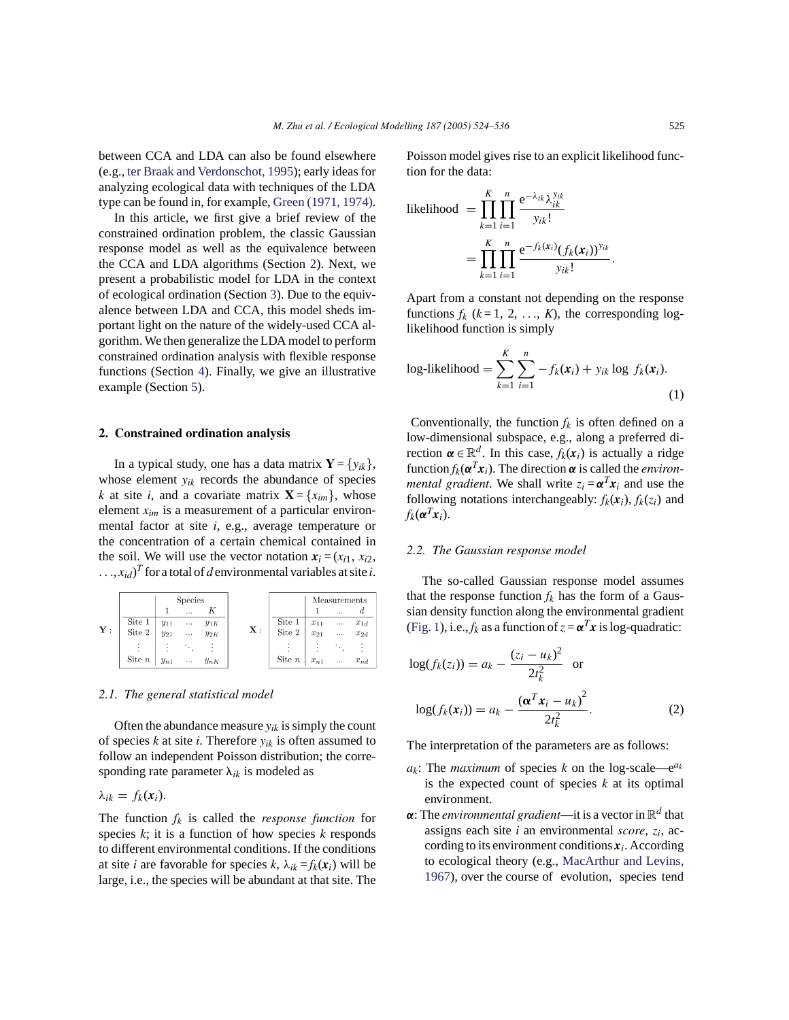between CCA and LDA can also be found elsewhere (e.g., ter Braak and Verdonschot, 1995); early ideas for analyzing ecological data with techniques of the LDA type can be found in, for example, Green (1971, 1974).

In this article, we first give a brief review of the constrained ordination problem, the classic Gaussian response model as well as the equivalence between the CCA and LDA algorithms (Section 2). Next, we present a probabilistic model for LDA in the context of ecological ordination (Section 3). Due to the equivalence between LDA and CCA, this model sheds important light on the nature of the widely-used CCA algorithm. We then generalize the LDA model to perform constrained ordination analysis with flexible response functions (Section 4). Finally, we give an illustrative example (Section 5).

#### **2. Constrained ordination analysis**

In a typical study, one has a data matrix  $\mathbf{Y} = \{y_{ik}\},\$ whose element *yik* records the abundance of species *k* at site *i*, and a covariate matrix  $\mathbf{X} = \{x_{im}\}\$ , whose element *xim* is a measurement of a particular environmental factor at site *i*, e.g., average temperature or the concentration of a certain chemical contained in the soil. We will use the vector notation  $x_i = (x_{i1}, x_{i2},$  $\dots, x_{id}$ <sup>T</sup> for a total of *d* environmental variables at site *i*.

|                |                      | <b>Species</b> |                |          |                |            | Measurements |          |          |
|----------------|----------------------|----------------|----------------|----------|----------------|------------|--------------|----------|----------|
|                |                      |                | $\cdots$       |          |                |            |              | .        |          |
| $\mathbf{Y}$ : | Site 1<br>Site $2\,$ | $y_{11}$       | $\sim 10^{-1}$ | $y_{1K}$ |                | Site 1     | $x_{11}$     | $\cdots$ | $x_{1d}$ |
|                |                      | $y_{21}$       | $\cdots$       | $y_{2K}$ | $\mathbf{X}$ : | Site $2\,$ | $x_{21}$     |          | $x_{2d}$ |
|                |                      |                |                |          |                |            |              |          |          |
|                | Site $n$             | $y_{n1}$       | $\cdots$       | $y_{nK}$ |                | Site $n$   | $x_{n1}$     | $\cdots$ | $x_{nd}$ |

## *2.1. The general statistical model*

Often the abundance measure  $y_{ik}$  is simply the count of species *k* at site *i*. Therefore *yik* is often assumed to follow an independent Poisson distribution; the corresponding rate parameter  $\lambda_{ik}$  is modeled as

$$
\lambda_{ik}=f_k(x_i).
$$

The function  $f_k$  is called the *response function* for species *k*; it is a function of how species *k* responds to different environmental conditions. If the conditions at site *i* are favorable for species *k*,  $\lambda_{ik} = f_k(\mathbf{x}_i)$  will be large, i.e., the species will be abundant at that site. The

Poisson model gives rise to an explicit likelihood function for the data:

likelihood 
$$
= \prod_{k=1}^{K} \prod_{i=1}^{n} \frac{e^{-\lambda_{ik}} \lambda_{ik}^{y_{ik}}}{y_{ik}!}
$$

$$
= \prod_{k=1}^{K} \prod_{i=1}^{n} \frac{e^{-f_k(x_i)}(f_k(x_i))^{y_{ik}}}{y_{ik}!}.
$$

Apart from a constant not depending on the response functions  $f_k$  ( $k = 1, 2, ..., K$ ), the corresponding loglikelihood function is simply

log-likelihood = 
$$
\sum_{k=1}^{K} \sum_{i=1}^{n} -f_k(\mathbf{x}_i) + y_{ik} \log f_k(\mathbf{x}_i).
$$
 (1)

Conventionally, the function  $f_k$  is often defined on a low-dimensional subspace, e.g., along a preferred direction  $\boldsymbol{\alpha} \in \mathbb{R}^d$ . In this case,  $f_k(\boldsymbol{x}_i)$  is actually a ridge function  $f_k(\boldsymbol{\alpha}^T \boldsymbol{x}_i)$ . The direction  $\boldsymbol{\alpha}$  is called the *environmental gradient*. We shall write  $z_i = \alpha^T x_i$  and use the following notations interchangeably:  $f_k(x_i)$ ,  $f_k(z_i)$  and  $f_k(\boldsymbol{\alpha}^T\boldsymbol{x}_i)$ .

#### *2.2. The Gaussian response model*

The so-called Gaussian response model assumes that the response function  $f_k$  has the form of a Gaussian density function along the environmental gradient (Fig. 1), i.e.,  $f_k$  as a function of  $z = \alpha^T x$  is log-quadratic:

$$
log(f_k(z_i)) = a_k - \frac{(z_i - u_k)^2}{2t_k^2} \text{ or}
$$
  

$$
log(f_k(x_i)) = a_k - \frac{(\alpha^T x_i - u_k)^2}{2t_k^2}.
$$
 (2)

The interpretation of the parameters are as follows:

- $a_k$ : The *maximum* of species *k* on the log-scale—e<sup> $a_k$ </sup> is the expected count of species *k* at its optimal environment.
- $\alpha$ : The *environmental gradient*—it is a vector in  $\mathbb{R}^d$  that assigns each site *i* an environmental *score*, *zi*, according to its environment conditions  $x_i$ . According to ecological theory (e.g., MacArthur and Levins, 1967), over the course of evolution, species tend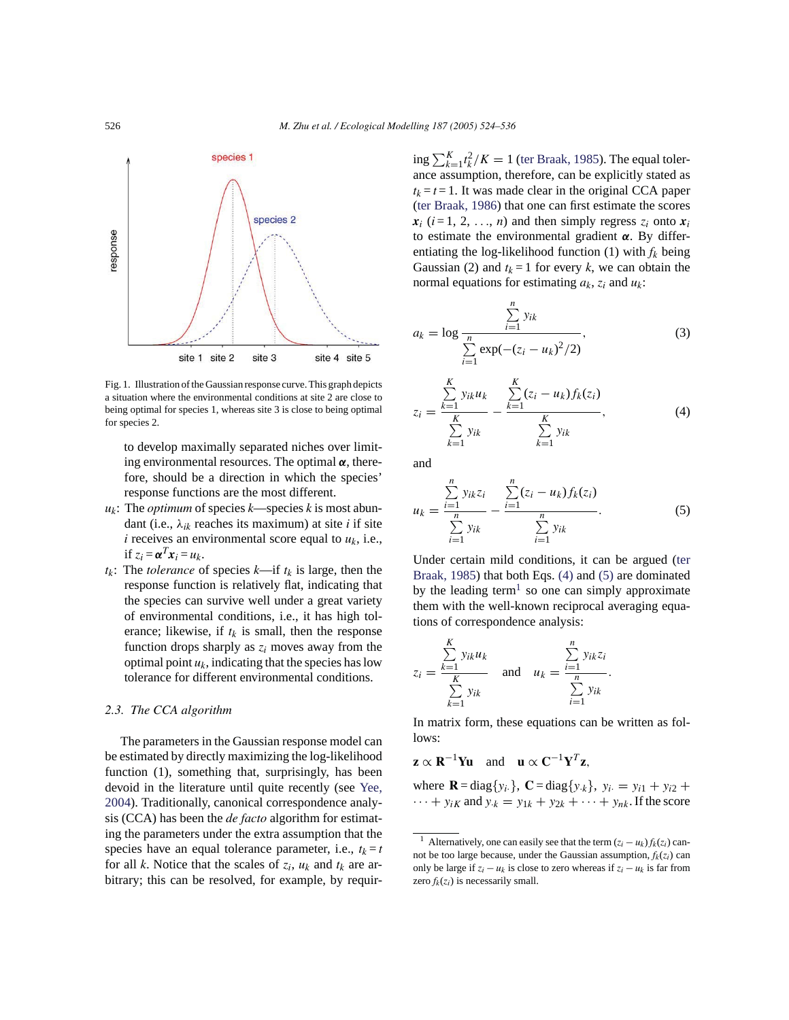

Fig. 1. Illustration of the Gaussian response curve. This graph depicts a situation where the environmental conditions at site 2 are close to being optimal for species 1, whereas site 3 is close to being optimal for species 2.

to develop maximally separated niches over limiting environmental resources. The optimal *α*, therefore, should be a direction in which the species' response functions are the most different.

- *uk*: The *optimum* of species *k*—species *k* is most abundant (i.e., λ*ik* reaches its maximum) at site *i* if site *i* receives an environmental score equal to  $u_k$ , i.e., if  $z_i = \boldsymbol{\alpha}^T \boldsymbol{x}_i = u_k$ .
- $t_k$ : The *tolerance* of species  $k$ —if  $t_k$  is large, then the response function is relatively flat, indicating that the species can survive well under a great variety of environmental conditions, i.e., it has high tolerance; likewise, if  $t_k$  is small, then the response function drops sharply as  $z_i$  moves away from the optimal point  $u_k$ , indicating that the species has low tolerance for different environmental conditions.

# *2.3. The CCA algorithm*

The parameters in the Gaussian response model can be estimated by directly maximizing the log-likelihood function (1), something that, surprisingly, has been devoid in the literature until quite recently (see Yee, 2004). Traditionally, canonical correspondence analysis (CCA) has been the *de facto* algorithm for estimating the parameters under the extra assumption that the species have an equal tolerance parameter, i.e.,  $t_k = t$ for all *k*. Notice that the scales of  $z_i$ ,  $u_k$  and  $t_k$  are arbitrary; this can be resolved, for example, by requir-

ing  $\sum_{k=1}^{K} t_k^2/K = 1$  (ter Braak, 1985). The equal tolerance assumption, therefore, can be explicitly stated as  $t_k = t = 1$ . It was made clear in the original CCA paper (ter Braak, 1986) that one can first estimate the scores  $x_i$  ( $i = 1, 2, \ldots, n$ ) and then simply regress  $z_i$  onto  $x_i$ to estimate the environmental gradient *α*. By differentiating the log-likelihood function (1) with *fk* being Gaussian (2) and  $t_k = 1$  for every *k*, we can obtain the normal equations for estimating *ak*, *zi* and *uk*:

$$
a_k = \log \frac{\sum_{i=1}^n y_{ik}}{\sum_{i=1}^n \exp(-(z_i - u_k)^2/2)},
$$
(3)

$$
z_{i} = \frac{\sum_{k=1}^{K} y_{ik} u_{k}}{\sum_{k=1}^{K} y_{ik}} - \frac{\sum_{k=1}^{K} (z_{i} - u_{k}) f_{k}(z_{i})}{\sum_{k=1}^{K} y_{ik}},
$$
(4)

and

$$
u_k = \frac{\sum_{i=1}^{n} y_{ik} z_i}{\sum_{i=1}^{n} y_{ik}} - \frac{\sum_{i=1}^{n} (z_i - u_k) f_k(z_i)}{\sum_{i=1}^{n} y_{ik}}.
$$
 (5)

Under certain mild conditions, it can be argued (ter Braak, 1985) that both Eqs. (4) and (5) are dominated by the leading term<sup>1</sup> so one can simply approximate them with the well-known reciprocal averaging equations of correspondence analysis:

$$
z_i = \frac{\sum\limits_{k=1}^K y_{ik} u_k}{\sum\limits_{k=1}^K y_{ik}} \quad \text{and} \quad u_k = \frac{\sum\limits_{i=1}^n y_{ik} z_i}{\sum\limits_{i=1}^N y_{ik}}.
$$

In matrix form, these equations can be written as follows:

 $\mathbf{z} \propto \mathbf{R}^{-1} \mathbf{Y} \mathbf{u}$  and  $\mathbf{u} \propto \mathbf{C}^{-1} \mathbf{Y}^T \mathbf{z}$ ,

where **R** = diag{*y<sub>i</sub>*</sub>}, **C** = diag{*y<sub>·k</sub>*}, *y<sub>i</sub>* = *y<sub>i1</sub>* + *y<sub>i2</sub>* +  $\cdots$  +  $y_{iK}$  and  $y_{k} = y_{1k} + y_{2k} + \cdots + y_{nk}$ . If the score

<sup>&</sup>lt;sup>1</sup> Alternatively, one can easily see that the term  $(z_i - u_k) f_k(z_i)$  cannot be too large because, under the Gaussian assumption,  $f_k(z_i)$  can only be large if  $z_i - u_k$  is close to zero whereas if  $z_i - u_k$  is far from zero  $f_k(z_i)$  is necessarily small.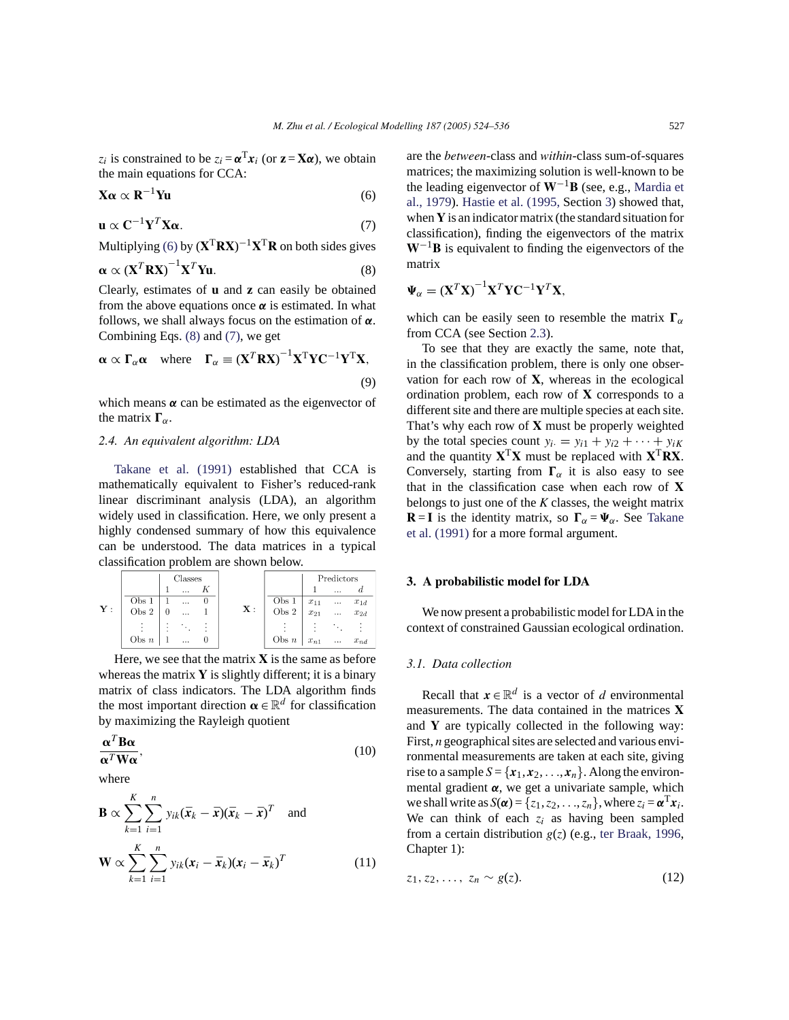*z<sub>i</sub>* is constrained to be  $z_i = \alpha^T x_i$  (or  $z = X\alpha$ ), we obtain the main equations for CCA:

$$
\mathbf{X}\boldsymbol{\alpha} \propto \mathbf{R}^{-1} \mathbf{Y} \mathbf{u} \tag{6}
$$

$$
\mathbf{u} \propto \mathbf{C}^{-1} \mathbf{Y}^T \mathbf{X} \alpha. \tag{7}
$$

Multiplying (6) by (**X**T**RX**) <sup>−</sup>1**X**T**R** on both sides gives

$$
\alpha \propto (\mathbf{X}^T \mathbf{R} \mathbf{X})^{-1} \mathbf{X}^T \mathbf{Y} \mathbf{u}.
$$
 (8)

Clearly, estimates of **u** and **z** can easily be obtained from the above equations once  $\alpha$  is estimated. In what follows, we shall always focus on the estimation of *α*. Combining Eqs. (8) and (7), we get

$$
\alpha \propto \Gamma_{\alpha} \alpha \quad \text{where} \quad \Gamma_{\alpha} \equiv (\mathbf{X}^T \mathbf{R} \mathbf{X})^{-1} \mathbf{X}^T \mathbf{Y} \mathbf{C}^{-1} \mathbf{Y}^T \mathbf{X}, \tag{9}
$$

which means  $\alpha$  can be estimated as the eigenvector of the matrix  $\Gamma_{\alpha}$ .

# *2.4. An equivalent algorithm: LDA*

Takane et al. (1991) established that CCA is mathematically equivalent to Fisher's reduced-rank linear discriminant analysis (LDA), an algorithm widely used in classification. Here, we only present a highly condensed summary of how this equivalence can be understood. The data matrices in a typical classification problem are shown below.

|               |                  | Classes |                      |  |               |                  | Predictors |          |          |
|---------------|------------------|---------|----------------------|--|---------------|------------------|------------|----------|----------|
|               |                  |         | $\cdots$             |  |               |                  |            |          |          |
| $\mathbf{Y}:$ | Obs <sub>1</sub> |         |                      |  | $\mathbf{X}:$ | Obs <sub>1</sub> | $x_{11}$   | $\cdots$ | $x_{1d}$ |
|               | Obs 2            |         | $\ddot{\phantom{a}}$ |  |               | Obs $2$          | $x_{21}$   | $\cdots$ | $x_{2d}$ |
|               |                  |         |                      |  |               |                  |            |          |          |
|               | Obs $n$          |         | $\cdots$             |  |               | Obs $n$          | $x_{n1}$   | $\cdots$ | $x_{nd}$ |

Here, we see that the matrix  $X$  is the same as before whereas the matrix **Y** is slightly different; it is a binary matrix of class indicators. The LDA algorithm finds the most important direction  $\boldsymbol{\alpha} \in \mathbb{R}^d$  for classification by maximizing the Rayleigh quotient

$$
\frac{\alpha^T B \alpha}{\alpha^T W \alpha},\tag{10}
$$

where

$$
\mathbf{B} \propto \sum_{k=1}^{K} \sum_{i=1}^{n} y_{ik} (\bar{\mathbf{x}}_k - \bar{\mathbf{x}}) (\bar{\mathbf{x}}_k - \bar{\mathbf{x}})^T \text{ and}
$$

$$
\mathbf{W} \propto \sum_{k=1}^{K} \sum_{i=1}^{n} y_{ik} (\mathbf{x}_i - \bar{\mathbf{x}}_k) (\mathbf{x}_i - \bar{\mathbf{x}}_k)^T
$$
(11)

are the *between*-class and *within*-class sum-of-squares matrices; the maximizing solution is well-known to be the leading eigenvector of **W**−1**B** (see, e.g., Mardia et al., 1979). Hastie et al. (1995, Section 3) showed that, when **Y** is an indicator matrix (the standard situation for classification), finding the eigenvectors of the matrix **W**−1**B** is equivalent to finding the eigenvectors of the matrix

$$
\Psi_{\alpha} = (\mathbf{X}^T \mathbf{X})^{-1} \mathbf{X}^T \mathbf{Y} \mathbf{C}^{-1} \mathbf{Y}^T \mathbf{X},
$$

which can be easily seen to resemble the matrix  $\Gamma_{\alpha}$ from CCA (see Section 2.3).

To see that they are exactly the same, note that, in the classification problem, there is only one observation for each row of **X**, whereas in the ecological ordination problem, each row of **X** corresponds to a different site and there are multiple species at each site. That's why each row of **X** must be properly weighted by the total species count  $y_i = y_{i1} + y_{i2} + \cdots + y_{iK}$ and the quantity  $X^T X$  must be replaced with  $X^T R X$ . Conversely, starting from  $\Gamma_{\alpha}$  it is also easy to see that in the classification case when each row of **X** belongs to just one of the *K* classes, the weight matrix **R** = **I** is the identity matrix, so  $\Gamma_{\alpha} = \Psi_{\alpha}$ . See Takane et al. (1991) for a more formal argument.

## **3. A probabilistic model for LDA**

We now present a probabilistic model for LDA in the context of constrained Gaussian ecological ordination.

# *3.1. Data collection*

Recall that  $x \in \mathbb{R}^d$  is a vector of *d* environmental measurements. The data contained in the matrices **X** and **Y** are typically collected in the following way: First, *n* geographical sites are selected and various environmental measurements are taken at each site, giving rise to a sample  $S = \{x_1, x_2, \ldots, x_n\}$ . Along the environmental gradient  $\alpha$ , we get a univariate sample, which we shall write as  $S(\boldsymbol{\alpha}) = \{z_1, z_2, \ldots, z_n\}$ , where  $z_i = \boldsymbol{\alpha}^T x_i$ . We can think of each  $z_i$  as having been sampled from a certain distribution *g*(*z*) (e.g., ter Braak, 1996, Chapter 1):

$$
z_1, z_2, \ldots, z_n \sim g(z). \tag{12}
$$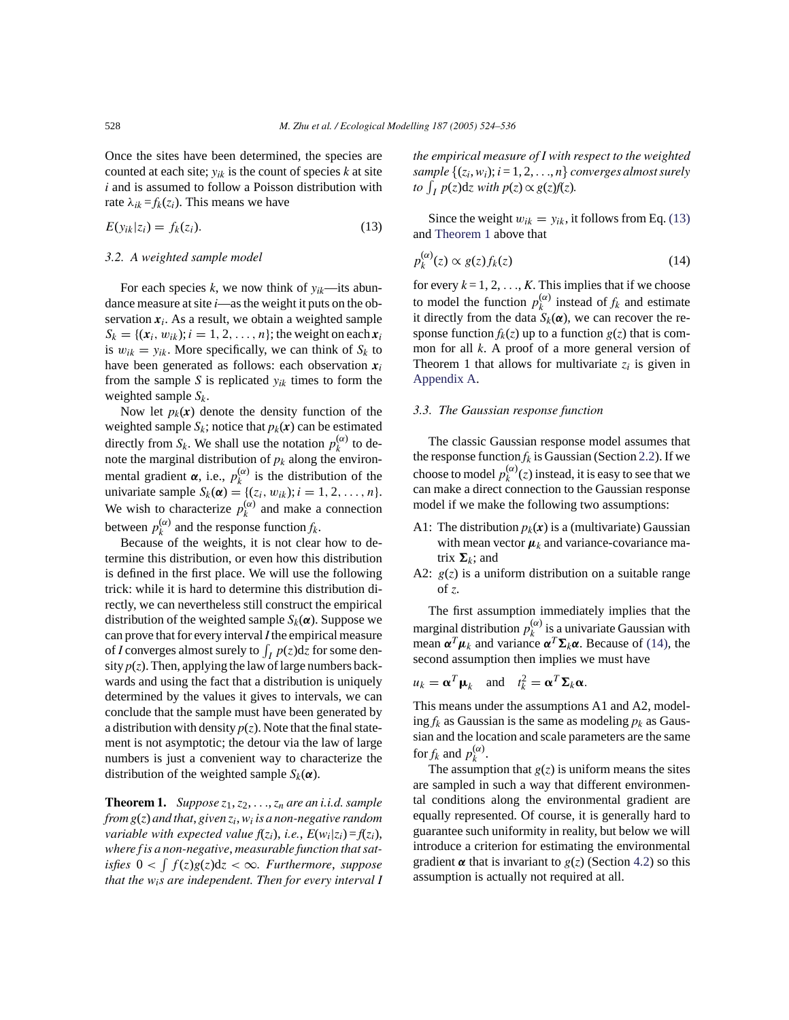Once the sites have been determined, the species are counted at each site;  $y_{ik}$  is the count of species  $k$  at site *i* and is assumed to follow a Poisson distribution with rate  $\lambda_{ik} = f_k(z_i)$ . This means we have

$$
E(y_{ik}|z_i) = f_k(z_i). \tag{13}
$$

#### *3.2. A weighted sample model*

For each species  $k$ , we now think of  $y_{ik}$ —its abundance measure at site *i*—as the weight it puts on the observation  $x_i$ . As a result, we obtain a weighted sample  $S_k = \{ (x_i, w_{ik}); i = 1, 2, \ldots, n \}$ ; the weight on each  $x_i$ is  $w_{ik} = y_{ik}$ . More specifically, we can think of  $S_k$  to have been generated as follows: each observation  $x_i$ from the sample *S* is replicated  $y_{ik}$  times to form the weighted sample *Sk*.

Now let  $p_k(x)$  denote the density function of the weighted sample  $S_k$ ; notice that  $p_k(x)$  can be estimated directly from  $S_k$ . We shall use the notation  $p_k^{(\alpha)}$  to denote the marginal distribution of  $p_k$  along the environmental gradient  $\alpha$ , i.e.,  $p_k^{(\alpha)}$  is the distribution of the univariate sample  $S_k(\alpha) = \{(z_i, w_{ik}); i = 1, 2, ..., n\}.$ We wish to characterize  $p_k^{(\alpha)}$  and make a connection between  $p_k^{(\alpha)}$  and the response function  $f_k$ .

Because of the weights, it is not clear how to determine this distribution, or even how this distribution is defined in the first place. We will use the following trick: while it is hard to determine this distribution directly, we can nevertheless still construct the empirical distribution of the weighted sample  $S_k(\alpha)$ . Suppose we can prove that for every interval*I*the empirical measure of *I* converges almost surely to  $\int_I p(z)dz$  for some density  $p(z)$ . Then, applying the law of large numbers backwards and using the fact that a distribution is uniquely determined by the values it gives to intervals, we can conclude that the sample must have been generated by a distribution with density  $p(z)$ . Note that the final statement is not asymptotic; the detour via the law of large numbers is just a convenient way to characterize the distribution of the weighted sample  $S_k(\boldsymbol{\alpha})$ .

**Theorem 1.** *Suppose*  $z_1$ ,  $z_2$ , ...,  $z_n$  *are an i.i.d. sample from g*(*z*) *and that*, *given zi*,*wi is a non-negative random variable with expected value*  $f(z_i)$ , *i.e.*,  $E(w_i|z_i) = f(z_i)$ , *where f is a non-negative*, *measurable function that satisfies*  $0 < ∫ f(z)g(z)dz < ∞$ *. Furthermore, suppose that the wis are independent. Then for every interval I* *the empirical measure of I with respect to the weighted sample*  $\{(z_i, w_i); i = 1, 2, \ldots, n\}$  *converges almost surely*  $to \int_I p(z)dz$  *with*  $p(z) \propto g(z)f(z)$ *.* 

Since the weight  $w_{ik} = y_{ik}$ , it follows from Eq. (13) and Theorem 1 above that

$$
p_k^{(\alpha)}(z) \propto g(z) f_k(z) \tag{14}
$$

for every  $k = 1, 2, \ldots, K$ . This implies that if we choose to model the function  $p_k^{(\alpha)}$  instead of  $f_k$  and estimate it directly from the data  $S_k(\boldsymbol{\alpha})$ , we can recover the response function  $f_k(z)$  up to a function  $g(z)$  that is common for all *k*. A proof of a more general version of Theorem 1 that allows for multivariate  $z_i$  is given in Appendix A.

#### *3.3. The Gaussian response function*

The classic Gaussian response model assumes that the response function  $f_k$  is Gaussian (Section 2.2). If we choose to model  $p_k^{(\alpha)}(z)$  instead, it is easy to see that we can make a direct connection to the Gaussian response model if we make the following two assumptions:

- A1: The distribution  $p_k(x)$  is a (multivariate) Gaussian with mean vector  $\mu_k$  and variance-covariance matrix  $\Sigma_k$ ; and
- A2: *g*(*z*) is a uniform distribution on a suitable range of *z*.

The first assumption immediately implies that the marginal distribution  $p_k^{(\alpha)}$  is a univariate Gaussian with mean  $\alpha^T \mu_k$  and variance  $\alpha^T \Sigma_k \alpha$ . Because of (14), the second assumption then implies we must have

$$
u_k = \alpha^T \mu_k
$$
 and  $t_k^2 = \alpha^T \Sigma_k \alpha$ .

This means under the assumptions A1 and A2, modeling  $f_k$  as Gaussian is the same as modeling  $p_k$  as Gaussian and the location and scale parameters are the same for  $f_k$  and  $p_k^{(\alpha)}$ .

The assumption that  $g(z)$  is uniform means the sites are sampled in such a way that different environmental conditions along the environmental gradient are equally represented. Of course, it is generally hard to guarantee such uniformity in reality, but below we will introduce a criterion for estimating the environmental gradient  $\alpha$  that is invariant to  $g(z)$  (Section 4.2) so this assumption is actually not required at all.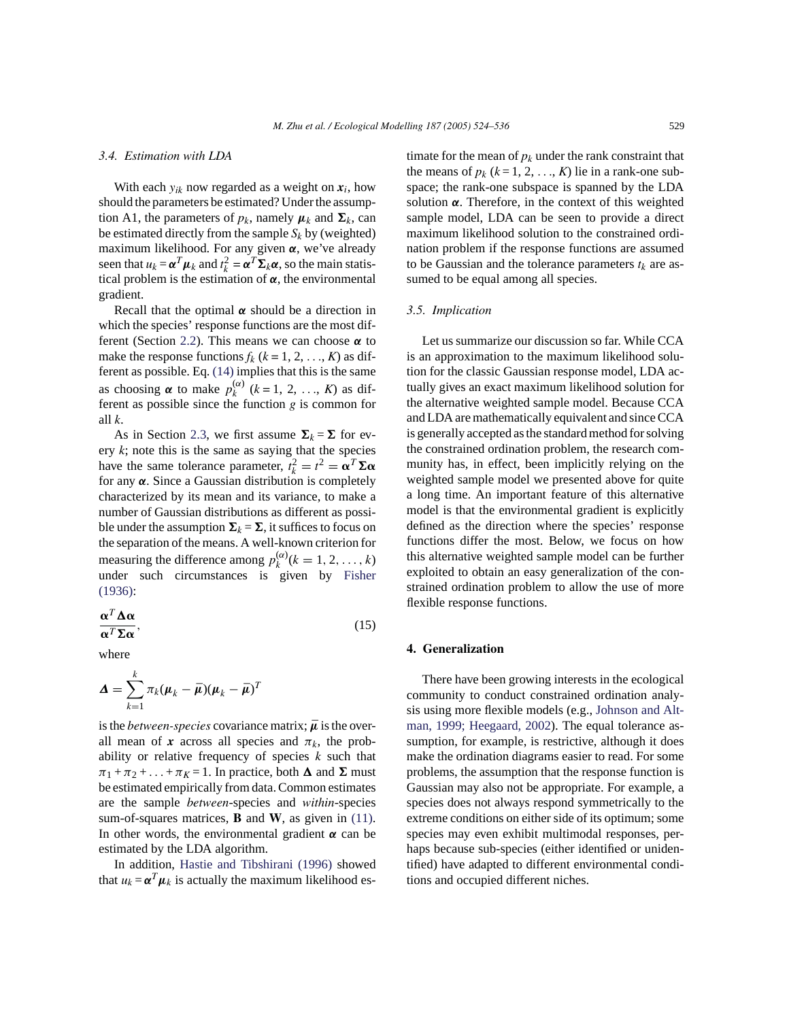## *3.4. Estimation with LDA*

With each  $y_{ik}$  now regarded as a weight on  $x_i$ , how should the parameters be estimated? Under the assumption A1, the parameters of  $p_k$ , namely  $\mu_k$  and  $\Sigma_k$ , can be estimated directly from the sample  $S_k$  by (weighted) maximum likelihood. For any given *α*, we've already seen that  $u_k = \alpha^T \mu_k$  and  $t_k^2 = \alpha^T \Sigma_k \alpha$ , so the main statistical problem is the estimation of  $\alpha$ , the environmental gradient.

Recall that the optimal *α* should be a direction in which the species' response functions are the most different (Section 2.2). This means we can choose *α* to make the response functions  $f_k$  ( $k = 1, 2, ..., K$ ) as different as possible. Eq. (14) implies that this is the same as choosing  $\alpha$  to make  $p_k^{(\alpha)}$  ( $k = 1, 2, ..., K$ ) as different as possible since the function *g* is common for all *k*.

As in Section 2.3, we first assume  $\Sigma_k = \Sigma$  for every  $k$ ; note this is the same as saying that the species have the same tolerance parameter,  $t_k^2 = t^2 = \alpha^T \Sigma \alpha$ for any *α*. Since a Gaussian distribution is completely characterized by its mean and its variance, to make a number of Gaussian distributions as different as possible under the assumption  $\Sigma_k = \Sigma$ , it suffices to focus on the separation of the means. A well-known criterion for measuring the difference among  $p_k^{(\alpha)}$  ( $k = 1, 2, ..., k$ ) under such circumstances is given by Fisher (1936):

$$
\frac{\alpha^T \Delta \alpha}{\alpha^T \Sigma \alpha},\tag{15}
$$

where

$$
\mathbf{\Delta} = \sum_{k=1}^k \pi_k (\boldsymbol{\mu}_k - \boldsymbol{\bar{\mu}}) (\boldsymbol{\mu}_k - \boldsymbol{\bar{\mu}})^T
$$

is the *between-species* covariance matrix;  $\bar{\mu}$  is the overall mean of *x* across all species and  $\pi_k$ , the probability or relative frequency of species *k* such that  $\pi_1 + \pi_2 + \ldots + \pi_K = 1$ . In practice, both  $\Delta$  and  $\Sigma$  must be estimated empirically from data. Common estimates are the sample *between*-species and *within*-species sum-of-squares matrices, **B** and **W**, as given in (11). In other words, the environmental gradient  $\alpha$  can be estimated by the LDA algorithm.

In addition, Hastie and Tibshirani (1996) showed that  $u_k = \alpha^T \mu_k$  is actually the maximum likelihood es-

timate for the mean of  $p_k$  under the rank constraint that the means of  $p_k$  ( $k = 1, 2, ..., K$ ) lie in a rank-one subspace; the rank-one subspace is spanned by the LDA solution *α*. Therefore, in the context of this weighted sample model, LDA can be seen to provide a direct maximum likelihood solution to the constrained ordination problem if the response functions are assumed to be Gaussian and the tolerance parameters  $t_k$  are assumed to be equal among all species.

# *3.5. Implication*

Let us summarize our discussion so far. While CCA is an approximation to the maximum likelihood solution for the classic Gaussian response model, LDA actually gives an exact maximum likelihood solution for the alternative weighted sample model. Because CCA and LDA are mathematically equivalent and since CCA is generally accepted as the standard method for solving the constrained ordination problem, the research community has, in effect, been implicitly relying on the weighted sample model we presented above for quite a long time. An important feature of this alternative model is that the environmental gradient is explicitly defined as the direction where the species' response functions differ the most. Below, we focus on how this alternative weighted sample model can be further exploited to obtain an easy generalization of the constrained ordination problem to allow the use of more flexible response functions.

#### **4. Generalization**

There have been growing interests in the ecological community to conduct constrained ordination analysis using more flexible models (e.g., Johnson and Altman, 1999; Heegaard, 2002). The equal tolerance assumption, for example, is restrictive, although it does make the ordination diagrams easier to read. For some problems, the assumption that the response function is Gaussian may also not be appropriate. For example, a species does not always respond symmetrically to the extreme conditions on either side of its optimum; some species may even exhibit multimodal responses, perhaps because sub-species (either identified or unidentified) have adapted to different environmental conditions and occupied different niches.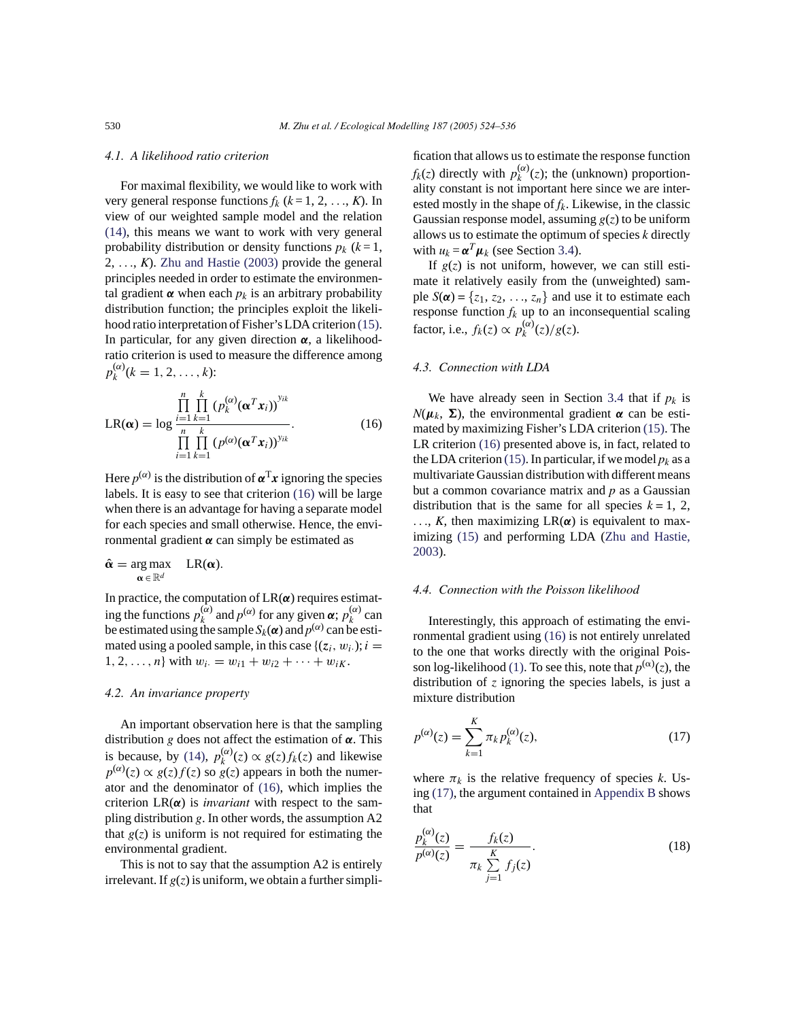## *4.1. A likelihood ratio criterion*

For maximal flexibility, we would like to work with very general response functions  $f_k$  ( $k = 1, 2, ..., K$ ). In view of our weighted sample model and the relation (14), this means we want to work with very general probability distribution or density functions  $p_k$  ( $k=1$ , 2, ..., *K*). Zhu and Hastie (2003) provide the general principles needed in order to estimate the environmental gradient  $\alpha$  when each  $p_k$  is an arbitrary probability distribution function; the principles exploit the likelihood ratio interpretation of Fisher's LDA criterion (15). In particular, for any given direction *α*, a likelihoodratio criterion is used to measure the difference among  $p_k^{(\alpha)}(k = 1, 2, \ldots, k)$ :

$$
LR(\boldsymbol{\alpha}) = \log \frac{\prod_{i=1}^{n} \prod_{k=1}^{k} (p_k^{(\alpha)}(\boldsymbol{\alpha}^T \boldsymbol{x}_i))^{y_{ik}}}{\prod_{i=1}^{n} \prod_{k=1}^{k} (p^{(\alpha)}(\boldsymbol{\alpha}^T \boldsymbol{x}_i))^{y_{ik}}}.
$$
(16)

Here  $p^{(\alpha)}$  is the distribution of  $\alpha^{T}x$  ignoring the species labels. It is easy to see that criterion (16) will be large when there is an advantage for having a separate model for each species and small otherwise. Hence, the environmental gradient *α* can simply be estimated as

$$
\hat{\alpha} = \underset{\alpha \in \mathbb{R}^d}{\arg \max} \quad LR(\alpha).
$$

In practice, the computation of LR(*α*) requires estimating the functions  $p_k^{(\alpha)}$  and  $p^{(\alpha)}$  for any given  $\alpha$ ;  $p_k^{(\alpha)}$  can be estimated using the sample  $S_k(\boldsymbol{\alpha})$  and  $p^{(\alpha)}$  can be estimated using a pooled sample, in this case  $\{(z_i, w_i)\}; i =$ 1, 2, ..., *n*} with  $w_i = w_{i1} + w_{i2} + \cdots + w_{iK}$ .

# *4.2. An invariance property*

An important observation here is that the sampling distribution *g* does not affect the estimation of *α*. This is because, by (14),  $p_k^{(\alpha)}(z) \propto g(z) f_k(z)$  and likewise  $p^{(\alpha)}(z) \propto g(z) f(z)$  so  $g(z)$  appears in both the numerator and the denominator of (16), which implies the criterion  $LR(\alpha)$  is *invariant* with respect to the sampling distribution *g*. In other words, the assumption A2 that  $g(z)$  is uniform is not required for estimating the environmental gradient.

This is not to say that the assumption A2 is entirely irrelevant. If  $g(z)$  is uniform, we obtain a further simplification that allows us to estimate the response function  $f_k(z)$  directly with  $p_k^{(\alpha)}(z)$ ; the (unknown) proportionality constant is not important here since we are interested mostly in the shape of *fk*. Likewise, in the classic Gaussian response model, assuming  $g(z)$  to be uniform allows us to estimate the optimum of species *k* directly with  $u_k = \alpha^T \mu_k$  (see Section 3.4).

If  $g(z)$  is not uniform, however, we can still estimate it relatively easily from the (unweighted) sample  $S(\boldsymbol{\alpha}) = \{z_1, z_2, \ldots, z_n\}$  and use it to estimate each response function  $f_k$  up to an inconsequential scaling factor, i.e.,  $f_k(z) \propto p_k^{(\alpha)}(z)/g(z)$ .

## *4.3. Connection with LDA*

We have already seen in Section 3.4 that if  $p_k$  is  $N(\mu_k, \Sigma)$ , the environmental gradient  $\alpha$  can be estimated by maximizing Fisher's LDA criterion (15). The LR criterion (16) presented above is, in fact, related to the LDA criterion (15). In particular, if we model  $p_k$  as a multivariate Gaussian distribution with different means but a common covariance matrix and *p* as a Gaussian distribution that is the same for all species  $k = 1, 2,$ ..., *K*, then maximizing LR(*α*) is equivalent to maximizing (15) and performing LDA (Zhu and Hastie, 2003).

#### *4.4. Connection with the Poisson likelihood*

Interestingly, this approach of estimating the environmental gradient using (16) is not entirely unrelated to the one that works directly with the original Poisson log-likelihood (1). To see this, note that  $p^{(\alpha)}(z)$ , the distribution of *z* ignoring the species labels, is just a mixture distribution

$$
p^{(\alpha)}(z) = \sum_{k=1}^{K} \pi_k p_k^{(\alpha)}(z),
$$
\n(17)

where  $\pi_k$  is the relative frequency of species *k*. Using (17), the argument contained in Appendix B shows that

 $\lambda$ 

$$
\frac{p_k^{(\alpha)}(z)}{p^{(\alpha)}(z)} = \frac{f_k(z)}{\pi_k \sum_{j=1}^K f_j(z)}.
$$
\n(18)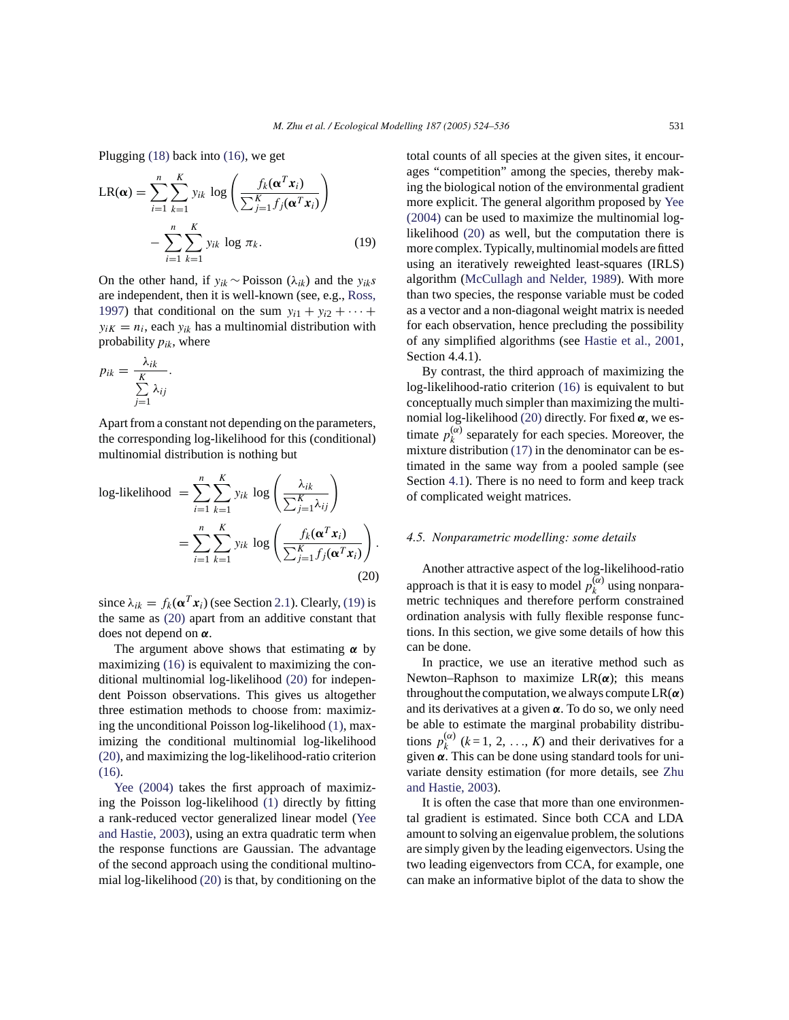Plugging (18) back into (16), we get

$$
LR(\alpha) = \sum_{i=1}^{n} \sum_{k=1}^{K} y_{ik} \log \left( \frac{f_k(\alpha^T x_i)}{\sum_{j=1}^{K} f_j(\alpha^T x_i)} \right)
$$

$$
- \sum_{i=1}^{n} \sum_{k=1}^{K} y_{ik} \log \pi_k.
$$
(19)

On the other hand, if *yik* ∼ Poisson (λ*ik*) and the *yiks* are independent, then it is well-known (see, e.g., Ross, 1997) that conditional on the sum  $y_{i1} + y_{i2} + \cdots$  $y_{iK} = n_i$ , each  $y_{ik}$  has a multinomial distribution with probability  $p_{ik}$ , where

$$
p_{ik} = \frac{\lambda_{ik}}{\sum\limits_{j=1}^{K} \lambda_{ij}}.
$$

Apart from a constant not depending on the parameters, the corresponding log-likelihood for this (conditional) multinomial distribution is nothing but

log-likelihood 
$$
= \sum_{i=1}^{n} \sum_{k=1}^{K} y_{ik} \log \left( \frac{\lambda_{ik}}{\sum_{j=1}^{K} \lambda_{ij}} \right)
$$

$$
= \sum_{i=1}^{n} \sum_{k=1}^{K} y_{ik} \log \left( \frac{f_k(\mathbf{\alpha}^T \mathbf{x}_i)}{\sum_{j=1}^{K} f_j(\mathbf{\alpha}^T \mathbf{x}_i)} \right).
$$
(20)

since  $\lambda_{ik} = f_k(\mathbf{\alpha}^T \mathbf{x}_i)$  (see Section 2.1). Clearly, (19) is the same as (20) apart from an additive constant that does not depend on *α*.

The argument above shows that estimating *α* by maximizing (16) is equivalent to maximizing the conditional multinomial log-likelihood (20) for independent Poisson observations. This gives us altogether three estimation methods to choose from: maximizing the unconditional Poisson log-likelihood (1), maximizing the conditional multinomial log-likelihood (20), and maximizing the log-likelihood-ratio criterion (16).

Yee (2004) takes the first approach of maximizing the Poisson log-likelihood (1) directly by fitting a rank-reduced vector generalized linear model (Yee and Hastie, 2003), using an extra quadratic term when the response functions are Gaussian. The advantage of the second approach using the conditional multinomial log-likelihood (20) is that, by conditioning on the

total counts of all species at the given sites, it encourages "competition" among the species, thereby making the biological notion of the environmental gradient more explicit. The general algorithm proposed by Yee (2004) can be used to maximize the multinomial loglikelihood (20) as well, but the computation there is more complex. Typically, multinomial models are fitted using an iteratively reweighted least-squares (IRLS) algorithm (McCullagh and Nelder, 1989). With more than two species, the response variable must be coded as a vector and a non-diagonal weight matrix is needed for each observation, hence precluding the possibility of any simplified algorithms (see Hastie et al., 2001, Section 4.4.1).

By contrast, the third approach of maximizing the log-likelihood-ratio criterion (16) is equivalent to but conceptually much simpler than maximizing the multinomial log-likelihood (20) directly. For fixed *α*, we estimate  $p_k^{(\alpha)}$  separately for each species. Moreover, the mixture distribution (17) in the denominator can be estimated in the same way from a pooled sample (see Section 4.1). There is no need to form and keep track of complicated weight matrices.

## *4.5. Nonparametric modelling: some details*

Another attractive aspect of the log-likelihood-ratio approach is that it is easy to model  $p_k^{(\alpha)}$  using nonparametric techniques and therefore perform constrained ordination analysis with fully flexible response functions. In this section, we give some details of how this can be done.

In practice, we use an iterative method such as Newton–Raphson to maximize  $LR(\alpha)$ ; this means throughout the computation, we always compute  $LR(\alpha)$ and its derivatives at a given *α*. To do so, we only need be able to estimate the marginal probability distributions  $p_k^{(\alpha)}$  ( $k = 1, 2, ..., K$ ) and their derivatives for a given *α*. This can be done using standard tools for univariate density estimation (for more details, see Zhu and Hastie, 2003).

It is often the case that more than one environmental gradient is estimated. Since both CCA and LDA amount to solving an eigenvalue problem, the solutions are simply given by the leading eigenvectors. Using the two leading eigenvectors from CCA, for example, one can make an informative biplot of the data to show the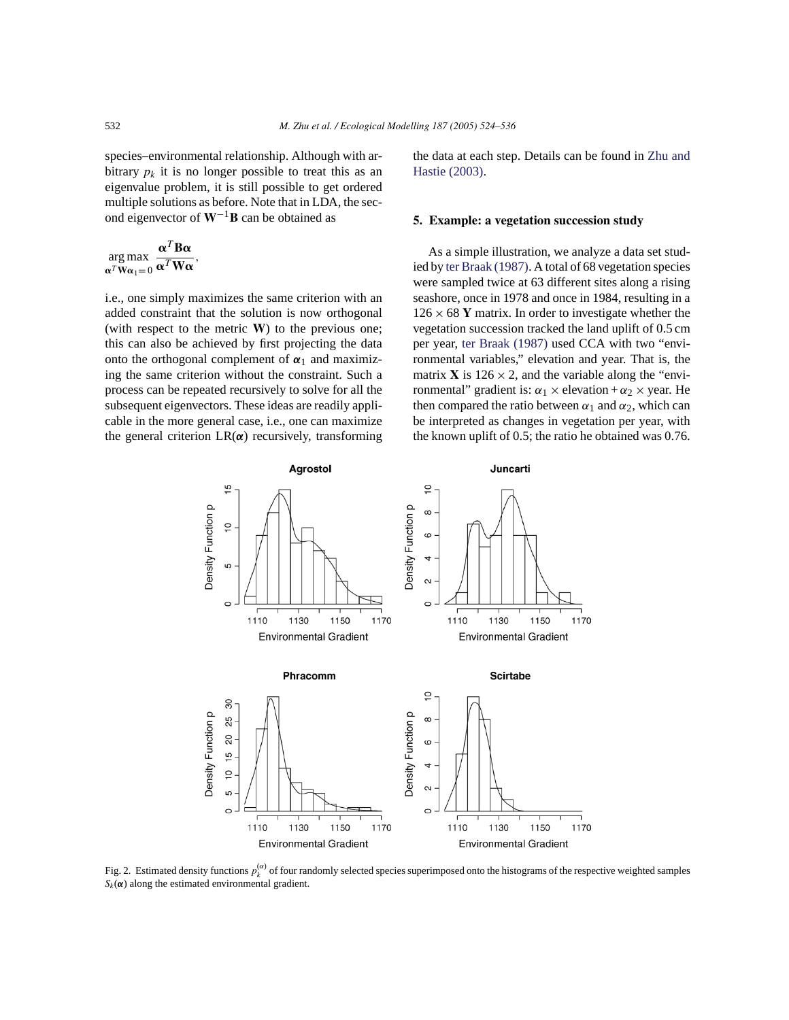species–environmental relationship. Although with arbitrary  $p_k$  it is no longer possible to treat this as an eigenvalue problem, it is still possible to get ordered multiple solutions as before. Note that in LDA, the second eigenvector of **W**−1**B** can be obtained as

$$
\underset{\alpha^T \mathbf{W} \alpha_1 = 0}{\arg \max} \frac{\alpha^T \mathbf{B} \alpha}{\alpha^T \mathbf{W} \alpha},
$$

i.e., one simply maximizes the same criterion with an added constraint that the solution is now orthogonal (with respect to the metric **W**) to the previous one; this can also be achieved by first projecting the data onto the orthogonal complement of  $\alpha_1$  and maximizing the same criterion without the constraint. Such a process can be repeated recursively to solve for all the subsequent eigenvectors. These ideas are readily applicable in the more general case, i.e., one can maximize the general criterion LR(*α*) recursively, transforming the data at each step. Details can be found in Zhu and Hastie (2003).

## **5. Example: a vegetation succession study**

As a simple illustration, we analyze a data set studied by ter Braak (1987). A total of 68 vegetation species were sampled twice at 63 different sites along a rising seashore, once in 1978 and once in 1984, resulting in a  $126 \times 68$  Y matrix. In order to investigate whether the vegetation succession tracked the land uplift of 0.5 cm per year, ter Braak (1987) used CCA with two "environmental variables," elevation and year. That is, the matrix **X** is  $126 \times 2$ , and the variable along the "environmental" gradient is:  $\alpha_1 \times$  elevation +  $\alpha_2 \times$  year. He then compared the ratio between  $\alpha_1$  and  $\alpha_2$ , which can be interpreted as changes in vegetation per year, with the known uplift of 0.5; the ratio he obtained was 0.76.



Fig. 2. Estimated density functions  $p_k^{(\alpha)}$  of four randomly selected species superimposed onto the histograms of the respective weighted samples  $S_k(\boldsymbol{\alpha})$  along the estimated environmental gradient.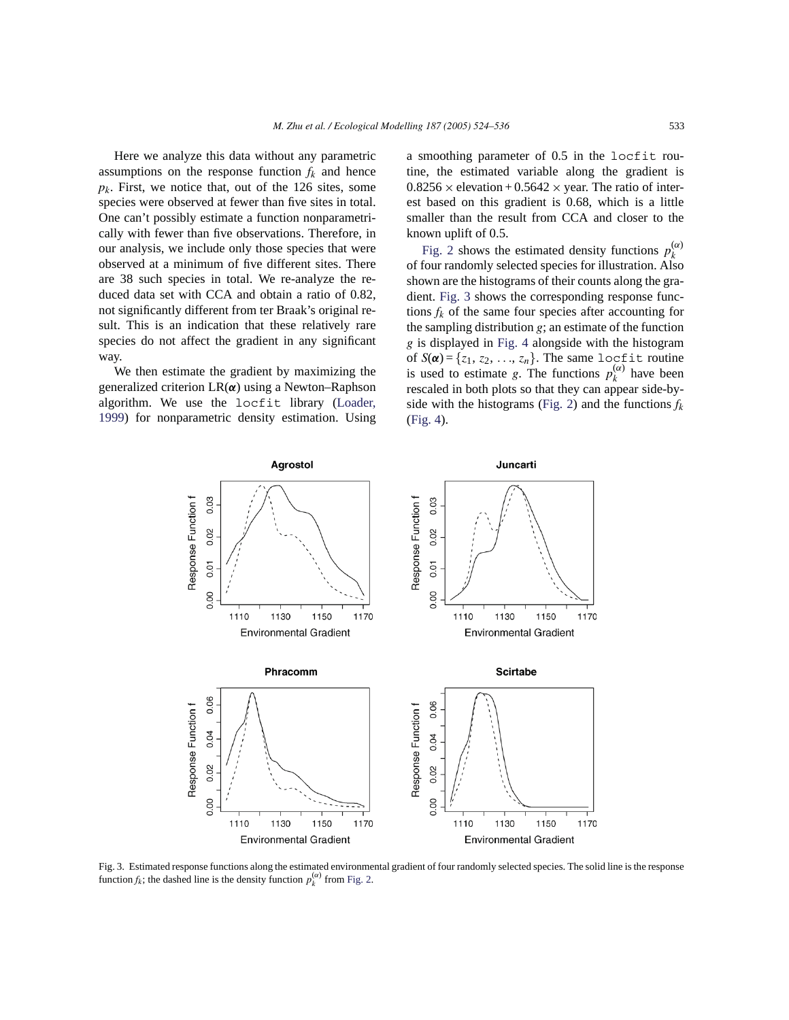Here we analyze this data without any parametric assumptions on the response function  $f_k$  and hence  $p_k$ . First, we notice that, out of the 126 sites, some species were observed at fewer than five sites in total. One can't possibly estimate a function nonparametrically with fewer than five observations. Therefore, in our analysis, we include only those species that were observed at a minimum of five different sites. There are 38 such species in total. We re-analyze the reduced data set with CCA and obtain a ratio of 0.82, not significantly different from ter Braak's original result. This is an indication that these relatively rare species do not affect the gradient in any significant way.

We then estimate the gradient by maximizing the generalized criterion LR(*α*) using a Newton–Raphson algorithm. We use the locfit library (Loader, 1999) for nonparametric density estimation. Using a smoothing parameter of 0.5 in the locfit routine, the estimated variable along the gradient is  $0.8256 \times$  elevation +  $0.5642 \times$  year. The ratio of interest based on this gradient is 0.68, which is a little smaller than the result from CCA and closer to the known uplift of 0.5.

Fig. 2 shows the estimated density functions  $p_k^{(\alpha)}$ of four randomly selected species for illustration. Also shown are the histograms of their counts along the gradient. Fig. 3 shows the corresponding response functions  $f_k$  of the same four species after accounting for the sampling distribution *g*; an estimate of the function *g* is displayed in Fig. 4 alongside with the histogram of  $S(\boldsymbol{\alpha}) = \{z_1, z_2, \ldots, z_n\}$ . The same locfit routine is used to estimate g. The functions  $p_k^{(\alpha)}$  have been rescaled in both plots so that they can appear side-byside with the histograms (Fig. 2) and the functions  $f_k$ (Fig. 4).



Fig. 3. Estimated response functions along the estimated environmental gradient of four randomly selected species. The solid line is the response function  $f_k$ ; the dashed line is the density function  $p_k^{(\alpha)}$  from Fig. 2.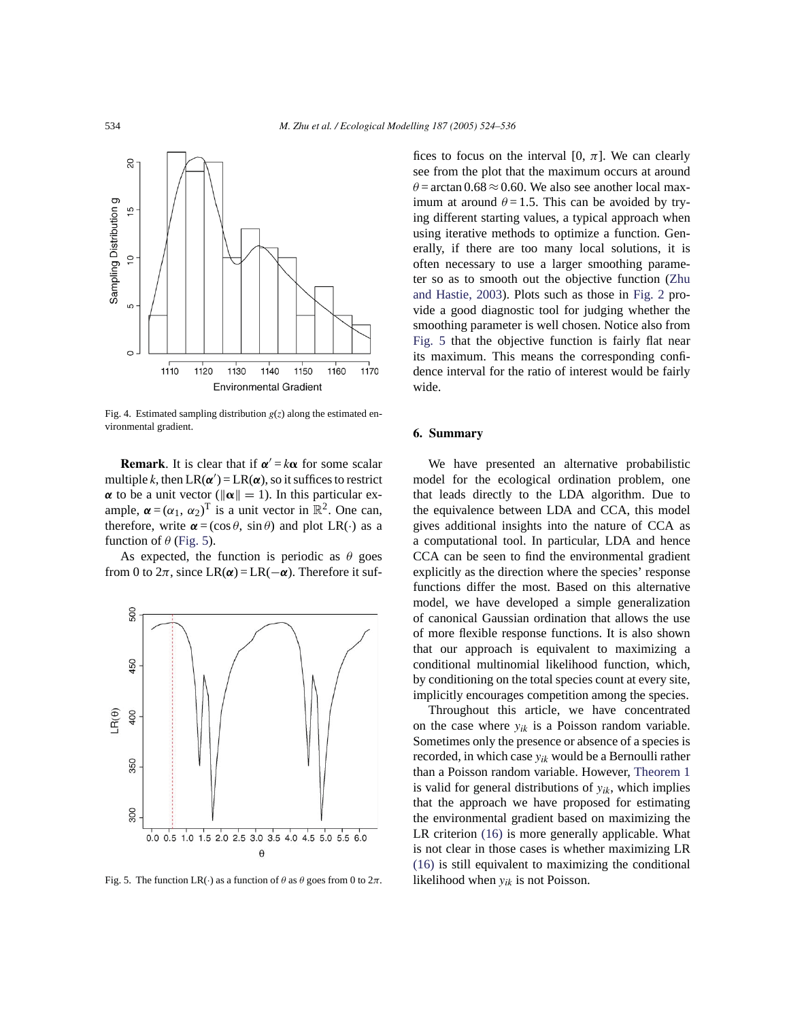

Fig. 4. Estimated sampling distribution  $g(z)$  along the estimated environmental gradient.

**Remark**. It is clear that if  $\alpha' = k\alpha$  for some scalar multiple *k*, then  $LR(\alpha') = LR(\alpha)$ , so it suffices to restrict  $\alpha$  to be a unit vector ( $\|\alpha\| = 1$ ). In this particular example,  $\boldsymbol{\alpha} = (\alpha_1, \alpha_2)^T$  is a unit vector in  $\mathbb{R}^2$ . One can, therefore, write  $\alpha = (\cos \theta, \sin \theta)$  and plot LR(·) as a function of  $\theta$  (Fig. 5).

As expected, the function is periodic as  $\theta$  goes from 0 to  $2\pi$ , since LR( $\alpha$ ) = LR( $-\alpha$ ). Therefore it suf-



Fig. 5. The function LR(·) as a function of  $\theta$  as  $\theta$  goes from 0 to  $2\pi$ .

fices to focus on the interval [0,  $\pi$ ]. We can clearly see from the plot that the maximum occurs at around  $\theta$  = arctan 0.68  $\approx$  0.60. We also see another local maximum at around  $\theta = 1.5$ . This can be avoided by trying different starting values, a typical approach when using iterative methods to optimize a function. Generally, if there are too many local solutions, it is often necessary to use a larger smoothing parameter so as to smooth out the objective function (Zhu and Hastie, 2003). Plots such as those in Fig. 2 provide a good diagnostic tool for judging whether the smoothing parameter is well chosen. Notice also from Fig. 5 that the objective function is fairly flat near its maximum. This means the corresponding confidence interval for the ratio of interest would be fairly wide.

#### **6. Summary**

We have presented an alternative probabilistic model for the ecological ordination problem, one that leads directly to the LDA algorithm. Due to the equivalence between LDA and CCA, this model gives additional insights into the nature of CCA as a computational tool. In particular, LDA and hence CCA can be seen to find the environmental gradient explicitly as the direction where the species' response functions differ the most. Based on this alternative model, we have developed a simple generalization of canonical Gaussian ordination that allows the use of more flexible response functions. It is also shown that our approach is equivalent to maximizing a conditional multinomial likelihood function, which, by conditioning on the total species count at every site, implicitly encourages competition among the species.

Throughout this article, we have concentrated on the case where  $y_{ik}$  is a Poisson random variable. Sometimes only the presence or absence of a species is recorded, in which case *yik* would be a Bernoulli rather than a Poisson random variable. However, Theorem 1 is valid for general distributions of  $y_{ik}$ , which implies that the approach we have proposed for estimating the environmental gradient based on maximizing the LR criterion (16) is more generally applicable. What is not clear in those cases is whether maximizing LR (16) is still equivalent to maximizing the conditional likelihood when *yik* is not Poisson.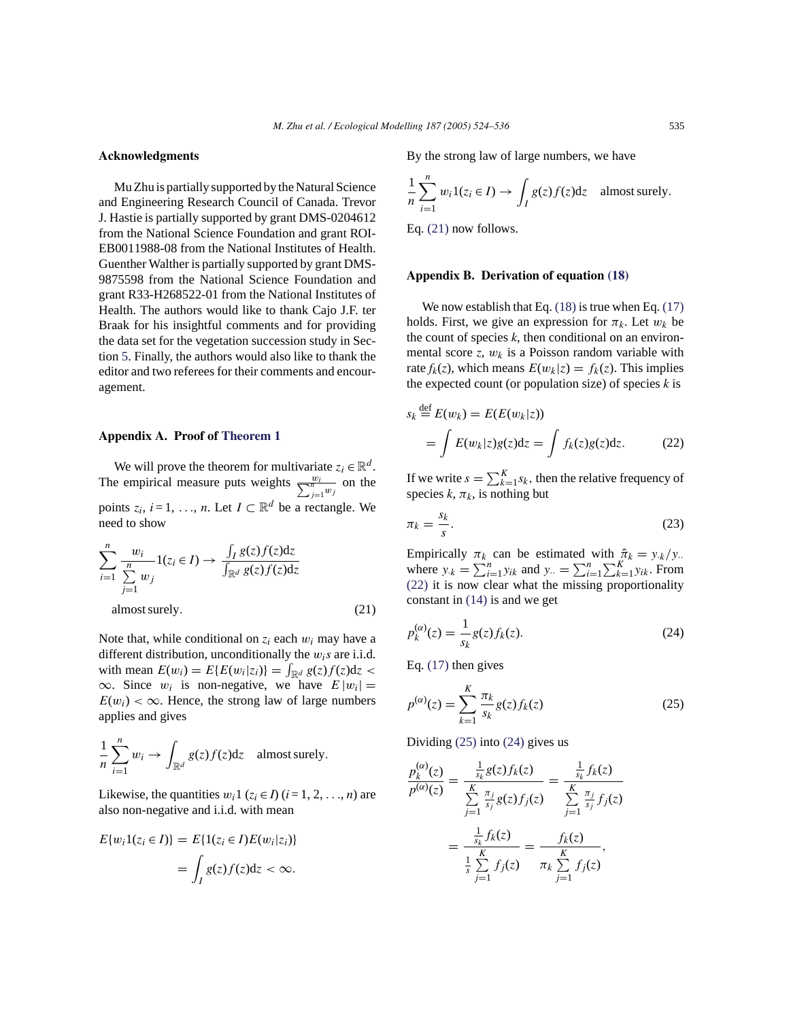# **Acknowledgments**

Mu Zhu is partially supported by the Natural Science and Engineering Research Council of Canada. Trevor J. Hastie is partially supported by grant DMS-0204612 from the National Science Foundation and grant ROI-EB0011988-08 from the National Institutes of Health. Guenther Walther is partially supported by grant DMS-9875598 from the National Science Foundation and grant R33-H268522-01 from the National Institutes of Health. The authors would like to thank Cajo J.F. ter Braak for his insightful comments and for providing the data set for the vegetation succession study in Section 5. Finally, the authors would also like to thank the editor and two referees for their comments and encouragement.

#### **Appendix A. Proof of Theorem 1**

We will prove the theorem for multivariate  $z_i \in \mathbb{R}^d$ . The empirical measure puts weights  $\frac{w_i}{\sum_{j=1}^n w_j}$  on the points  $z_i$ ,  $i = 1, \ldots, n$ . Let  $I \subset \mathbb{R}^d$  be a rectangle. We need to show

$$
\sum_{i=1}^{n} \frac{w_i}{\sum_{j=1}^{n} w_j} 1(z_i \in I) \to \frac{\int_I g(z) f(z) dz}{\int_{\mathbb{R}^d} g(z) f(z) dz}
$$
\nalmost surely. (21)

Note that, while conditional on  $z_i$  each  $w_i$  may have a different distribution, unconditionally the  $w_i s$  are i.i.d. with mean  $E(w_i) = E{E(w_i|z_i)} = \int_{\mathbb{R}^d} g(z)f(z)dz$  $\infty$ . Since  $w_i$  is non-negative, we have  $E |w_i| =$  $E(w_i) < \infty$ . Hence, the strong law of large numbers applies and gives

$$
\frac{1}{n}\sum_{i=1}^n w_i \to \int_{\mathbb{R}^d} g(z)f(z)dz \quad \text{almost surely.}
$$

Likewise, the quantities  $w_i$ 1 ( $z_i \in I$ ) ( $i = 1, 2, ..., n$ ) are also non-negative and i.i.d. with mean

$$
E\{w_i 1(z_i \in I)\} = E\{1(z_i \in I)E(w_i|z_i)\}
$$

$$
= \int_I g(z)f(z)dz < \infty.
$$

By the strong law of large numbers, we have

$$
\frac{1}{n}\sum_{i=1}^{n} w_i 1(z_i \in I) \to \int_I g(z)f(z)dz \quad \text{almost surely.}
$$

Eq. (21) now follows.

## **Appendix B. Derivation of equation (18)**

We now establish that Eq.  $(18)$  is true when Eq.  $(17)$ holds. First, we give an expression for  $\pi_k$ . Let  $w_k$  be the count of species *k*, then conditional on an environmental score  $z$ ,  $w_k$  is a Poisson random variable with rate  $f_k(z)$ , which means  $E(w_k|z) = f_k(z)$ . This implies the expected count (or population size) of species *k* is

$$
s_k \stackrel{\text{def}}{=} E(w_k) = E(E(w_k|z))
$$
  
= 
$$
\int E(w_k|z)g(z)dz = \int f_k(z)g(z)dz.
$$
 (22)

If we write  $s = \sum_{k=1}^{K} s_k$ , then the relative frequency of species  $k, \pi_k$ , is nothing but

$$
\pi_k = \frac{s_k}{s}.\tag{23}
$$

Empirically  $\pi_k$  can be estimated with  $\hat{\pi}_k = y_k/y$ . where  $y_k = \sum_{i=1}^n y_{ik}$  and  $y_i = \sum_{i=1}^n \sum_{k=1}^K y_{ik}$ . From (22) it is now clear what the missing proportionality constant in (14) is and we get

$$
p_k^{(\alpha)}(z) = \frac{1}{s_k} g(z) f_k(z). \tag{24}
$$

Eq. (17) then gives

$$
p^{(\alpha)}(z) = \sum_{k=1}^{K} \frac{\pi_k}{s_k} g(z) f_k(z)
$$
 (25)

Dividing (25) into (24) gives us

$$
\frac{p_k^{(\alpha)}(z)}{p^{(\alpha)}(z)} = \frac{\frac{1}{s_k} g(z) f_k(z)}{\sum_{j=1}^K \frac{\pi_j}{s_j} g(z) f_j(z)} = \frac{\frac{1}{s_k} f_k(z)}{\sum_{j=1}^K \frac{\pi_j}{s_j} f_j(z)}
$$

$$
= \frac{\frac{1}{s_k} f_k(z)}{\frac{1}{s_k} \sum_{j=1}^K f_j(z)} = \frac{f_k(z)}{\pi_k \sum_{j=1}^K f_j(z)},
$$